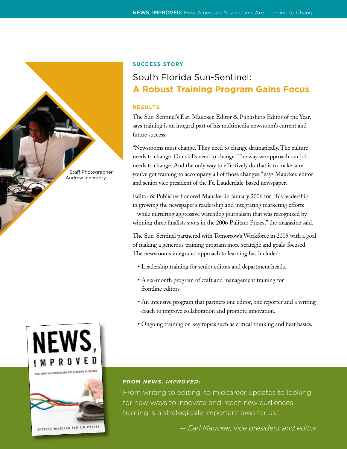

# **Success Story**

# South Florida Sun-Sentinel: **A Robust Training Program Gains Focus**

# **RESULTS**

The Sun-Sentinel's Earl Maucker, Editor & Publisher's Editor of the Year, says training is an integral part of his multimedia newsroom's current and future success.

"Newsrooms must change. They need to change dramatically. The culture needs to change. Our skills need to change. The way we approach our job needs to change. And the only way to effectively do that is to make sure you've got training to accompany all of those changes," says Maucker, editor and senior vice president of the Ft. Lauderdale-based newspaper.

Editor & Publisher honored Maucker in January 2006 for "his leadership in growing the newspaper's readership and integrating marketing efforts – while nurturing aggressive watchdog journalism that was recognized by winning three finalists spots in the 2006 Pulitzer Prizes," the magazine said.

The Sun-Sentinel partnered with Tomorrow's Workforce in 2005 with a goal of making a generous training program more strategic and goals-focused. The newsrooms integrated approach to learning has included:

- Leadership training for senior editors and department heads.
- A six-month program of craft and management training for frontline editors
- An intensive program that partners one editor, one reporter and a writing coach to improve collaboration and promote innovation.
- Ongoing training on key topics such as critical thinking and beat basics.





# **FROM** *NEWS, IMPROVED***:**

"From writing to editing, to midcareer updates to looking for new ways to innovate and reach new audiences, training is a strategically important area for us."

*— Earl Maucker, vice president and editor*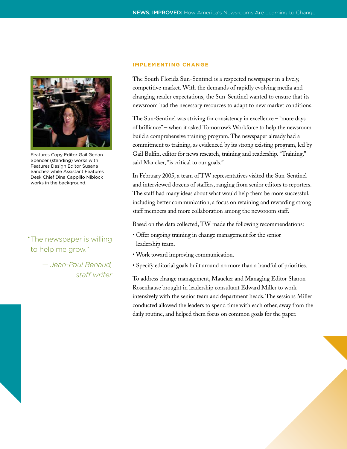

Features Copy Editor Gail Gedan Spencer (standing) works with Features Design Editor Susana Sanchez while Assistant Features Desk Chief Dina Cappillo Niblock works in the background.

"The newspaper is willing to help me grow."

> *— Jean-Paul Renaud, staff writer*

#### **Implementing Change**

The South Florida Sun-Sentinel is a respected newspaper in a lively, competitive market. With the demands of rapidly evolving media and changing reader expectations, the Sun-Sentinel wanted to ensure that its newsroom had the necessary resources to adapt to new market conditions.

The Sun-Sentinel was striving for consistency in excellence – "more days of brilliance" – when it asked Tomorrow's Workforce to help the newsroom build a comprehensive training program. The newspaper already had a commitment to training, as evidenced by its strong existing program, led by Gail Bulfin, editor for news research, training and readership. "Training," said Maucker, "is critical to our goals."

In February 2005, a team of TW representatives visited the Sun-Sentinel and interviewed dozens of staffers, ranging from senior editors to reporters. The staff had many ideas about what would help them be more successful, including better communication, a focus on retaining and rewarding strong staff members and more collaboration among the newsroom staff.

Based on the data collected, TW made the following recommendations:

- Offer ongoing training in change management for the senior leadership team.
- Work toward improving communication.
- Specify editorial goals built around no more than a handful of priorities.

To address change management, Maucker and Managing Editor Sharon Rosenhause brought in leadership consultant Edward Miller to work intensively with the senior team and department heads. The sessions Miller conducted allowed the leaders to spend time with each other, away from the daily routine, and helped them focus on common goals for the paper.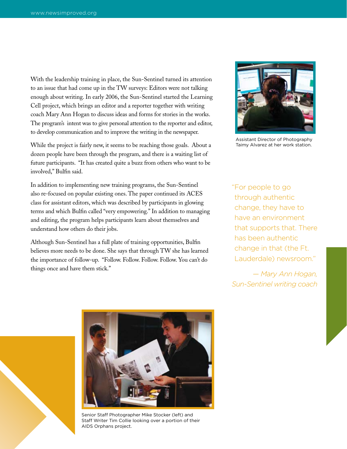With the leadership training in place, the Sun-Sentinel turned its attention to an issue that had come up in the TW surveys: Editors were not talking enough about writing. In early 2006, the Sun-Sentinel started the Learning Cell project, which brings an editor and a reporter together with writing coach Mary Ann Hogan to discuss ideas and forms for stories in the works. The program's intent was to give personal attention to the reporter and editor, to develop communication and to improve the writing in the newspaper.

While the project is fairly new, it seems to be reaching those goals. About a dozen people have been through the program, and there is a waiting list of future participants. "It has created quite a buzz from others who want to be involved," Bulfin said.

In addition to implementing new training programs, the Sun-Sentinel also re-focused on popular existing ones. The paper continued its ACES class for assistant editors, which was described by participants in glowing terms and which Bulfin called "very empowering." In addition to managing and editing, the program helps participants learn about themselves and understand how others do their jobs.

Although Sun-Sentinel has a full plate of training opportunities, Bulfin believes more needs to be done. She says that through TW she has learned the importance of follow-up. "Follow. Follow. Follow. Follow. You can't do things once and have them stick."



Assistant Director of Photography Taimy Alvarez at her work station.

"For people to go through authentic change, they have to have an environment that supports that. There has been authentic change in that (the Ft. Lauderdale) newsroom."

*— Mary Ann Hogan, Sun-Sentinel writing coach*



Senior Staff Photographer Mike Stocker (left) and Staff Writer Tim Collie looking over a portion of their AIDS Orphans project.